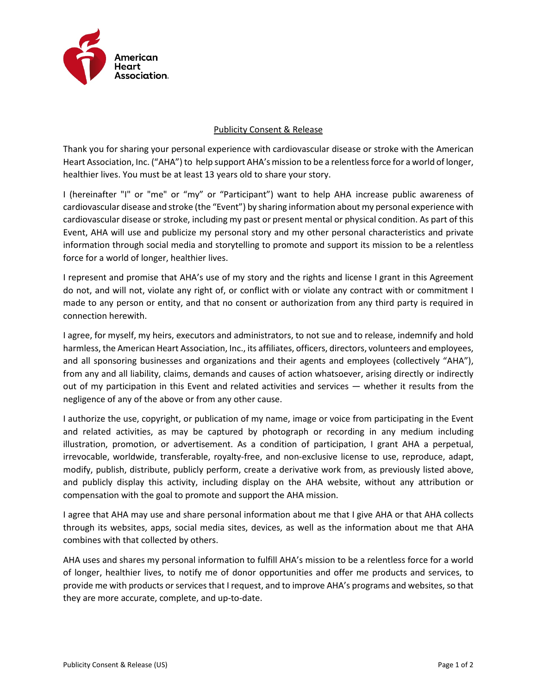

## Publicity Consent & Release

Thank you for sharing your personal experience with cardiovascular disease or stroke with the American Heart Association, Inc. ("AHA") to help support AHA's mission to be a relentless force for a world of longer, healthier lives. You must be at least 13 years old to share your story.

I (hereinafter "I" or "me" or "my" or "Participant") want to help AHA increase public awareness of cardiovascular disease and stroke (the "Event") by sharing information about my personal experience with cardiovascular disease or stroke, including my past or present mental or physical condition. As part of this Event, AHA will use and publicize my personal story and my other personal characteristics and private information through social media and storytelling to promote and support its mission to be a relentless force for a world of longer, healthier lives.

I represent and promise that AHA's use of my story and the rights and license I grant in this Agreement do not, and will not, violate any right of, or conflict with or violate any contract with or commitment I made to any person or entity, and that no consent or authorization from any third party is required in connection herewith.

I agree, for myself, my heirs, executors and administrators, to not sue and to release, indemnify and hold harmless, the American Heart Association, Inc., its affiliates, officers, directors, volunteers and employees, and all sponsoring businesses and organizations and their agents and employees (collectively "AHA"), from any and all liability, claims, demands and causes of action whatsoever, arising directly or indirectly out of my participation in this Event and related activities and services — whether it results from the negligence of any of the above or from any other cause.

I authorize the use, copyright, or publication of my name, image or voice from participating in the Event and related activities, as may be captured by photograph or recording in any medium including illustration, promotion, or advertisement. As a condition of participation, I grant AHA a perpetual, irrevocable, worldwide, transferable, royalty-free, and non-exclusive license to use, reproduce, adapt, modify, publish, distribute, publicly perform, create a derivative work from, as previously listed above, and publicly display this activity, including display on the AHA website, without any attribution or compensation with the goal to promote and support the AHA mission.

I agree that AHA may use and share personal information about me that I give AHA or that AHA collects through its websites, apps, social media sites, devices, as well as the information about me that AHA combines with that collected by others.

AHA uses and shares my personal information to fulfill AHA's mission to be a relentless force for a world of longer, healthier lives, to notify me of donor opportunities and offer me products and services, to provide me with products or services that I request, and to improve AHA's programs and websites, so that they are more accurate, complete, and up-to-date.